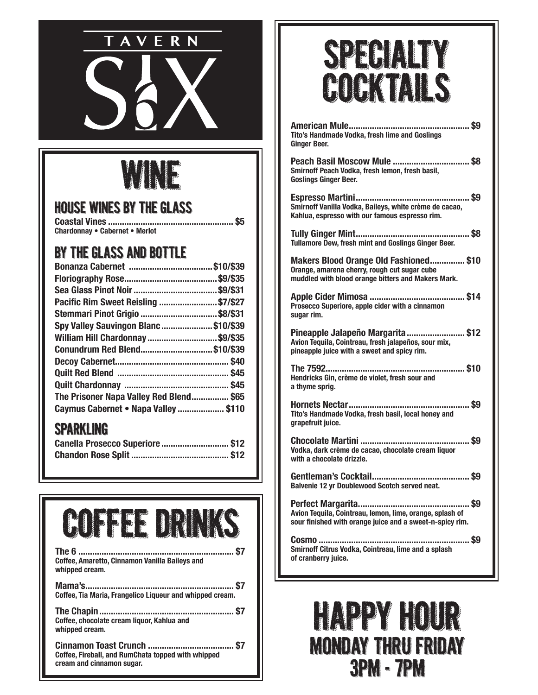

### WINE

#### House Wines by the Glass

**Coastal Vines ...................................................... \$5 Chardonnay • Cabernet • Merlot**

### By The Glass and Bottle

| Pacific Rim Sweet Reisling \$7/\$27    |  |
|----------------------------------------|--|
| Stemmari Pinot Grigio \$8/\$31         |  |
| Spy Valley Sauvingon Blanc\$10/\$39    |  |
| William Hill Chardonnay \$9/\$35       |  |
| Conundrum Red Blend\$10/\$39           |  |
|                                        |  |
|                                        |  |
|                                        |  |
| The Prisoner Napa Valley Red Blend\$65 |  |
| Caymus Cabernet • Napa Valley \$110    |  |

#### Sparkling

| Canella Prosecco Superiore  \$12 |  |
|----------------------------------|--|
|                                  |  |



| Coffee, Amaretto, Cinnamon Vanilla Bailevs and<br>whipped cream. |
|------------------------------------------------------------------|
| Coffee, Tia Maria, Frangelico Liqueur and whipped cream.         |
|                                                                  |

**Coffee, chocolate cream liquor, Kahlua and whipped cream.**

**Cinnamon Toast Crunch ..................................... \$7 Coffee, Fireball, and RumChata topped with whipped cream and cinnamon sugar.** 

### SPECIALTY **COCKTAILS**

| Tito's Handmade Vodka, fresh lime and Goslings<br><b>Ginger Beer.</b>                                                                        |
|----------------------------------------------------------------------------------------------------------------------------------------------|
| Peach Basil Moscow Mule  \$8<br>Smirnoff Peach Vodka, fresh lemon, fresh basil,<br><b>Goslings Ginger Beer.</b>                              |
| Smirnoff Vanilla Vodka, Baileys, white crème de cacao,<br>Kahlua, espresso with our famous espresso rim.                                     |
| Tullamore Dew, fresh mint and Goslings Ginger Beer.                                                                                          |
| Makers Blood Orange Old Fashioned \$10<br>Orange, amarena cherry, rough cut sugar cube<br>muddled with blood orange bitters and Makers Mark. |
| Prosecco Superiore, apple cider with a cinnamon<br>sugar rim.                                                                                |
| Pineapple Jalapeño Margarita  \$12<br>Avion Tequila, Cointreau, fresh jalapeños, sour mix,<br>pineapple juice with a sweet and spicy rim.    |
| Hendricks Gin, crème de violet, fresh sour and<br>a thyme sprig.                                                                             |
| Tito's Handmade Vodka, fresh basil, local honey and<br>grapefruit juice.                                                                     |
| Vodka, dark crème de cacao, chocolate cream liquor<br>with a chocolate drizzle.                                                              |
| Balvenie 12 yr Doublewood Scotch served neat.                                                                                                |
| Avion Tequila, Cointreau, lemon, lime, orange, splash of<br>sour finished with orange juice and a sweet-n-spicy rim.                         |
| Smirnoff Citrus Vodka, Cointreau, lime and a splash<br>of cranberry juice.                                                                   |

### HAPPY HOUR MONDAY THRU FRIDAY 3PM - 7PM